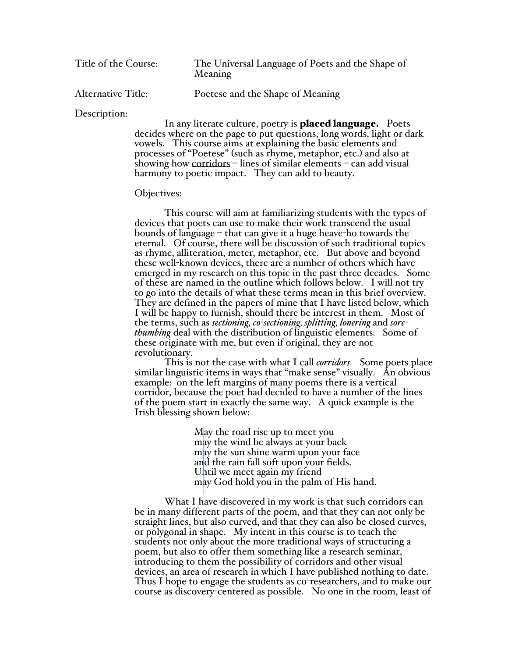| Title of the Course:      | The Universal Language of Poets and the Shape of<br>Meaning |
|---------------------------|-------------------------------------------------------------|
| <b>Alternative Title:</b> | Poetese and the Shape of Meaning                            |

Description:

In any literate culture, poetry is **placed language.** Poets decides where on the page to put questions, long words, light or dark vowels. This course aims at explaining the basic elements and processes of "Poetese" (such as rhyme, metaphor, etc.) and also at showing how corridors – lines of similar elements – can add visual harmony to poetic impact. They can add to beauty.

#### Objectives:

This course will aim at familiarizing students with the types of devices that poets can use to make their work transcend the usual bounds of language – that can give it a huge heave-ho towards the eternal. Of course, there will be discussion of such traditional topics as rhyme, alliteration, meter, metaphor, etc. But above and beyond these well-known devices, there are a number of others which have emerged in my research on this topic in the past three decades. Some of these are named in the outline which follows below. I will not try to go into the details of what these terms mean in this brief overview. They are defined in the papers of mine that I have listed below, which I will be happy to furnish, should there be interest in them. Most of the terms, such as *sectioning, co-sectioning, splitting, lonering* and *sorethumbing* deal with the distribution of linguistic elements. Some of these originate with me, but even if original, they are not revolutionary.

This is not the case with what I call *corridors.* Some poets place similar linguistic items in ways that "make sense" visually. An obvious example: on the left margins of many poems there is a vertical corridor, because the poet had decided to have a number of the lines of the poem start in exactly the same way. A quick example is the Irish blessing shown below:

> May the road rise up to meet you may the wind be always at your back may the sun shine warm upon your face and the rain fall soft upon your fields. Until we meet again my friend may God hold you in the palm of His hand.

What I have discovered in my work is that such corridors can be in many different parts of the poem, and that they can not only be straight lines, but also curved, and that they can also be closed curves, or polygonal in shape. My intent in this course is to teach the students not only about the more traditional ways of structuring a poem, but also to offer them something like a research seminar, introducing to them the possibility of corridors and other visual devices, an area of research in which I have published nothing to date. Thus I hope to engage the students as co-researchers, and to make our course as discovery-centered as possible. No one in the room, least of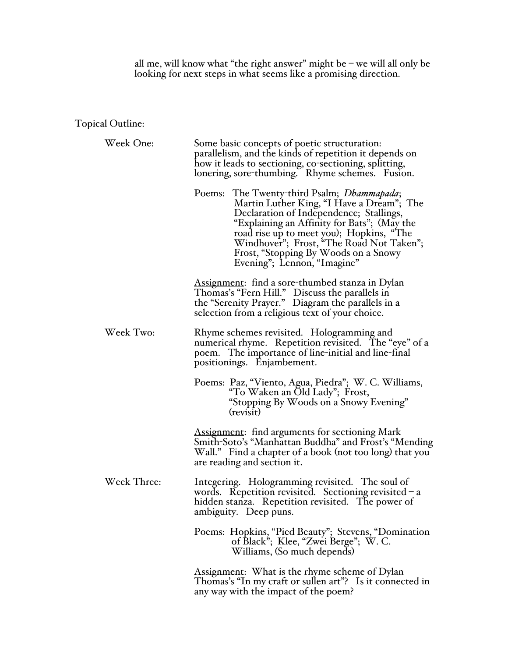all me, will know what "the right answer" might be – we will all only be looking for next steps in what seems like a promising direction.

# Topical Outline:

| Week One:   | Some basic concepts of poetic structuration:<br>parallelism, and the kinds of repetition it depends on<br>how it leads to sectioning, co-sectioning, splitting,<br>lonering, sore-thumbing. Rhyme schemes. Fusion.                                                                                                                               |
|-------------|--------------------------------------------------------------------------------------------------------------------------------------------------------------------------------------------------------------------------------------------------------------------------------------------------------------------------------------------------|
|             | Poems: The Twenty-third Psalm; Dhammapada;<br>Martin Luther King, "I Have a Dream"; The<br>Declaration of Independence; Stallings,<br>"Explaining an Affinity for Bats"; (May the<br>road rise up to meet you); Hopkins, "The<br>Windhover"; Frost, "The Road Not Taken";<br>Frost, "Stopping By Woods on a Snowy<br>Evening"; Lennon, "Imagine" |
|             | Assignment: find a sore-thumbed stanza in Dylan<br>Thomas's "Fern Hill." Discuss the parallels in<br>the "Serenity Prayer." Diagram the parallels in a<br>selection from a religious text of your choice.                                                                                                                                        |
| Week Two:   | Rhyme schemes revisited. Hologramming and<br>numerical rhyme. Repetition revisited. The "eye" of a<br>poem. The importance of line-initial and line-final<br>positionings. Enjambement.                                                                                                                                                          |
|             | Poems: Paz, "Viento, Agua, Piedra"; W. C. Williams,<br>"To Waken an Old Lady"; Frost,<br>"Stopping By Woods on a Snowy Evening"<br>(revisit)                                                                                                                                                                                                     |
|             | Assignment: find arguments for sectioning Mark<br>Smith-Soto's "Manhattan Buddha" and Frost's "Mending<br>Wall." Find a chapter of a book (not too long) that you<br>are reading and section it.                                                                                                                                                 |
| Week Three: | Integering. Hologramming revisited. The soul of<br>words. Repetition revisited. Sectioning revisited $-a$<br>hidden stanza. Repetition revisited. The power of<br>ambiguity. Deep puns.                                                                                                                                                          |
|             | Poems: Hopkins, "Pied Beauty"; Stevens, "Domination<br>of Black"; Klee, "Zwei Berge"; W. C.<br>Williams, (So much depends)                                                                                                                                                                                                                       |
|             | Assignment: What is the rhyme scheme of Dylan<br>Thomas's "In my craft or sullen art"? Is it connected in<br>any way with the impact of the poem?                                                                                                                                                                                                |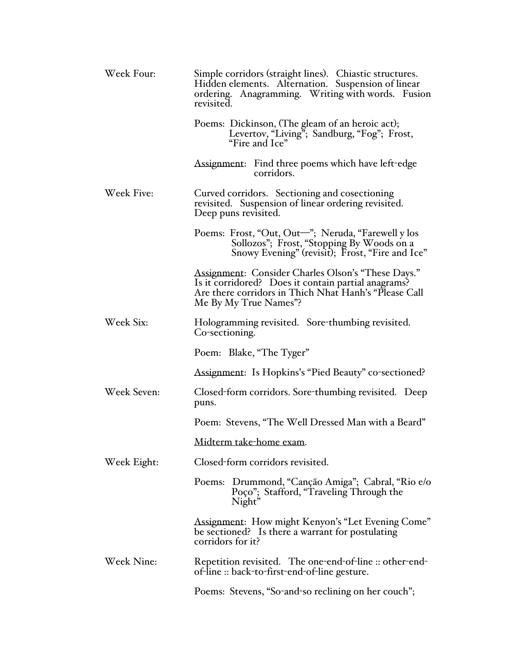| Week Four:  | Simple corridors (straight lines). Chiastic structures.<br>Hidden elements. Alternation. Suspension of linear<br>ordering. Anagramming. Writing with words. Fusion<br>revisited.            |
|-------------|---------------------------------------------------------------------------------------------------------------------------------------------------------------------------------------------|
|             | Poems: Dickinson, (The gleam of an heroic act);<br>Levertov, "Living"; Sandburg, "Fog"; Frost,<br>"Fire and Ice"                                                                            |
|             | Assignment: Find three poems which have left-edge<br>corridors.                                                                                                                             |
| Week Five:  | Curved corridors. Sectioning and cosectioning<br>revisited. Suspension of linear ordering revisited.<br>Deep puns revisited.                                                                |
|             | Poems: Frost, "Out, Out-"; Neruda, "Farewell y los<br>Sollozos"; Frost, "Stopping By Woods on a<br>Snowy Evening" (revisit); Frost, "Fire and Ice"                                          |
|             | Assignment: Consider Charles Olson's "These Days."<br>Is it corridored? Does it contain partial anagrams?<br>Are there corridors in Thich Nhat Hanh's "Please Call<br>Me By My True Names"? |
| Week Six:   | Hologramming revisited. Sore-thumbing revisited.<br>Co-sectioning.                                                                                                                          |
|             | Poem: Blake, "The Tyger"                                                                                                                                                                    |
|             | Assignment: Is Hopkins's "Pied Beauty" co-sectioned?                                                                                                                                        |
| Week Seven: | Closed-form corridors. Sore-thumbing revisited. Deep<br>puns.                                                                                                                               |
|             | Poem: Stevens, "The Well Dressed Man with a Beard"                                                                                                                                          |
|             | Midterm take-home exam.                                                                                                                                                                     |
| Week Eight: | Closed-form corridors revisited.                                                                                                                                                            |
|             | Poems: Drummond, "Canção Amiga"; Cabral, "Rio e/o<br>Poço"; Stafford, "Traveling Through the<br>Night"                                                                                      |
|             | Assignment: How might Kenyon's "Let Evening Come"<br>be sectioned? Is there a warrant for postulating<br>corridors for it?                                                                  |
| Week Nine:  | Repetition revisited. The one-end-of-line :: other-end-<br>of-line :: back-to-first-end-of-line gesture.                                                                                    |
|             | Poems: Stevens, "So-and-so reclining on her couch";                                                                                                                                         |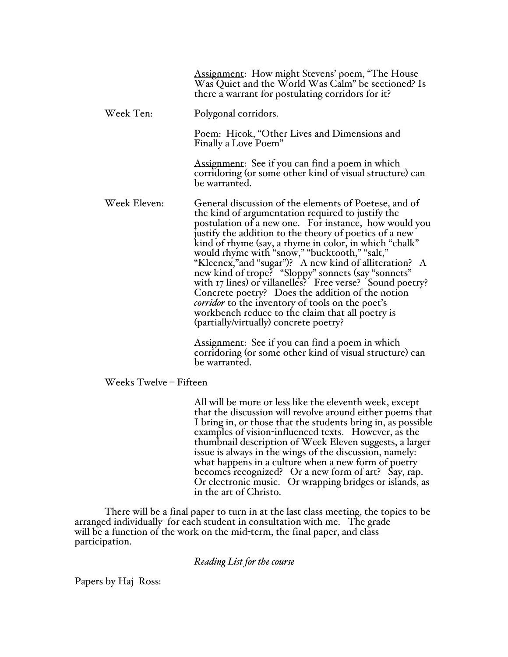|              | Assignment: How might Stevens' poem, "The House<br>Was Quiet and the World Was Calm" be sectioned? Is<br>there a warrant for postulating corridors for it?                                                                                                                                                                                                                                                                                                                                                                                                                                                                                                                                                                                                                    |
|--------------|-------------------------------------------------------------------------------------------------------------------------------------------------------------------------------------------------------------------------------------------------------------------------------------------------------------------------------------------------------------------------------------------------------------------------------------------------------------------------------------------------------------------------------------------------------------------------------------------------------------------------------------------------------------------------------------------------------------------------------------------------------------------------------|
| Week Ten:    | Polygonal corridors.                                                                                                                                                                                                                                                                                                                                                                                                                                                                                                                                                                                                                                                                                                                                                          |
|              | Poem: Hicok, "Other Lives and Dimensions and<br>Finally a Love Poem"                                                                                                                                                                                                                                                                                                                                                                                                                                                                                                                                                                                                                                                                                                          |
|              | Assignment: See if you can find a poem in which<br>corridoring (or some other kind of visual structure) can<br>be warranted.                                                                                                                                                                                                                                                                                                                                                                                                                                                                                                                                                                                                                                                  |
| Week Eleven: | General discussion of the elements of Poetese, and of<br>the kind of argumentation required to justify the<br>postulation of a new one. For instance, how would you<br>justify the addition to the theory of poetics of a new<br>kind of rhyme (say, a rhyme in color, in which "chalk"<br>would rhyme with "snow," "bucktooth," "salt,"<br>"Kleenex," and "sugar")? A new kind of alliteration? A<br>new kind of trope? "Sloppy" sonnets (say "sonnets"<br>with 17 lines) or villanelles? Free verse? Sound poetry?<br>Concrete poetry? Does the addition of the notion<br>corridor to the inventory of tools on the poet's<br>workbench reduce to the claim that all poetry is<br>(partially/virtually) concrete poetry?<br>Assignment: See if you can find a poem in which |
|              | corridoring (or some other kind of visual structure) can<br>be warranted.                                                                                                                                                                                                                                                                                                                                                                                                                                                                                                                                                                                                                                                                                                     |

### Weeks Twelve – Fifteen

All will be more or less like the eleventh week, except that the discussion will revolve around either poems that I bring in, or those that the students bring in, as possible examples of vision-influenced texts. However, as the thumbnail description of Week Eleven suggests, a larger issue is always in the wings of the discussion, namely: what happens in a culture when a new form of poetry becomes recognized? Or a new form of art? Say, rap. Or electronic music. Or wrapping bridges or islands, as in the art of Christo.

There will be a final paper to turn in at the last class meeting, the topics to be arranged individually for each student in consultation with me. The grade will be a function of the work on the mid-term, the final paper, and class participation.

### *Reading List for the course*

Papers by Haj Ross: